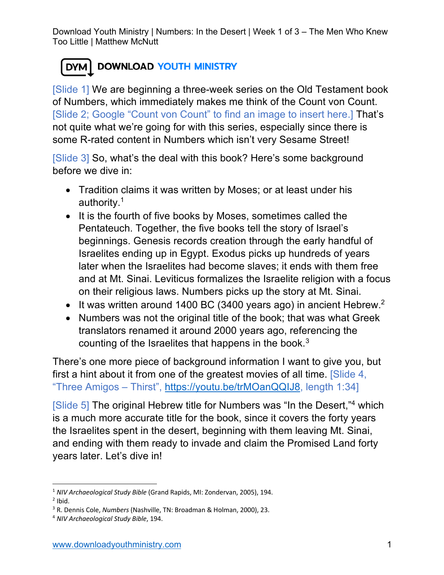## DYM DOWNLOAD YOUTH MINISTRY

[Slide 1] We are beginning a three-week series on the Old Testament book of Numbers, which immediately makes me think of the Count von Count. [Slide 2; Google "Count von Count" to find an image to insert here.] That's not quite what we're going for with this series, especially since there is some R-rated content in Numbers which isn't very Sesame Street!

[Slide 3] So, what's the deal with this book? Here's some background before we dive in:

- Tradition claims it was written by Moses; or at least under his authority.1
- It is the fourth of five books by Moses, sometimes called the Pentateuch. Together, the five books tell the story of Israel's beginnings. Genesis records creation through the early handful of Israelites ending up in Egypt. Exodus picks up hundreds of years later when the Israelites had become slaves; it ends with them free and at Mt. Sinai. Leviticus formalizes the Israelite religion with a focus on their religious laws. Numbers picks up the story at Mt. Sinai.
- It was written around 1400 BC (3400 years ago) in ancient Hebrew.<sup>2</sup>
- Numbers was not the original title of the book; that was what Greek translators renamed it around 2000 years ago, referencing the counting of the Israelites that happens in the book. $3$

There's one more piece of background information I want to give you, but first a hint about it from one of the greatest movies of all time. [Slide 4, "Three Amigos – Thirst", https://youtu.be/trMOanQQIJ8, length 1:34]

[Slide 5] The original Hebrew title for Numbers was "In the Desert,"<sup>4</sup> which is a much more accurate title for the book, since it covers the forty years the Israelites spent in the desert, beginning with them leaving Mt. Sinai, and ending with them ready to invade and claim the Promised Land forty years later. Let's dive in!

<sup>1</sup> *NIV Archaeological Study Bible* (Grand Rapids, MI: Zondervan, 2005), 194.

 $<sup>2</sup>$  Ibid.</sup>

<sup>3</sup> R. Dennis Cole, *Numbers* (Nashville, TN: Broadman & Holman, 2000), 23.

<sup>4</sup> *NIV Archaeological Study Bible*, 194.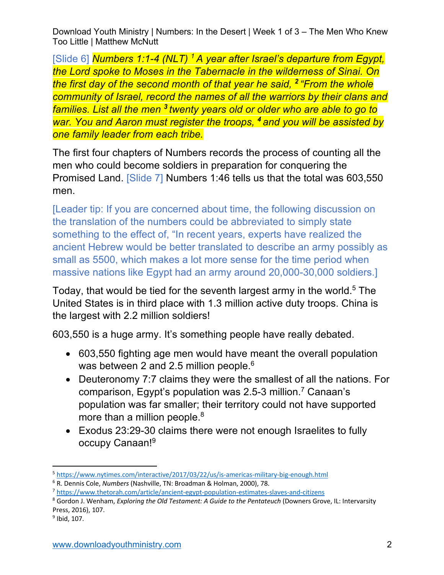[Slide 6] *Numbers 1:1-4 (NLT) 1 A year after Israel's departure from Egypt, the Lord spoke to Moses in the Tabernacle in the wilderness of Sinai. On the first day of the second month of that year he said, <sup>2</sup> "From the whole community of Israel, record the names of all the warriors by their clans and families. List all the men <sup>3</sup> twenty years old or older who are able to go to war. You and Aaron must register the troops, <sup>4</sup> and you will be assisted by one family leader from each tribe.*

The first four chapters of Numbers records the process of counting all the men who could become soldiers in preparation for conquering the Promised Land. [Slide 7] Numbers 1:46 tells us that the total was 603,550 men.

[Leader tip: If you are concerned about time, the following discussion on the translation of the numbers could be abbreviated to simply state something to the effect of, "In recent years, experts have realized the ancient Hebrew would be better translated to describe an army possibly as small as 5500, which makes a lot more sense for the time period when massive nations like Egypt had an army around 20,000-30,000 soldiers.]

Today, that would be tied for the seventh largest army in the world.<sup>5</sup> The United States is in third place with 1.3 million active duty troops. China is the largest with 2.2 million soldiers!

603,550 is a huge army. It's something people have really debated.

- 603,550 fighting age men would have meant the overall population was between 2 and 2.5 million people.<sup>6</sup>
- Deuteronomy 7:7 claims they were the smallest of all the nations. For comparison, Egypt's population was 2.5-3 million. <sup>7</sup> Canaan's population was far smaller; their territory could not have supported more than a million people.<sup>8</sup>
- Exodus 23:29-30 claims there were not enough Israelites to fully occupy Canaan!9

<sup>5</sup> https://www.nytimes.com/interactive/2017/03/22/us/is-americas-military-big-enough.html

<sup>6</sup> R. Dennis Cole, *Numbers* (Nashville, TN: Broadman & Holman, 2000), 78.

<sup>7</sup> https://www.thetorah.com/article/ancient-egypt-population-estimates-slaves-and-citizens

<sup>8</sup> Gordon J. Wenham, *Exploring the Old Testament: A Guide to the Pentateuch* (Downers Grove, IL: Intervarsity Press, 2016), 107.

 $<sup>9</sup>$  Ibid, 107.</sup>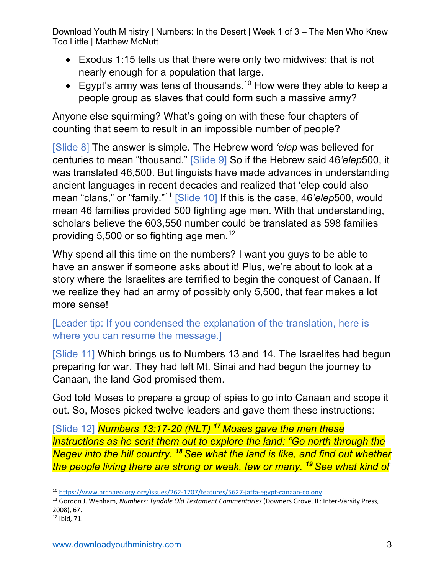- Exodus 1:15 tells us that there were only two midwives; that is not nearly enough for a population that large.
- Egypt's army was tens of thousands.<sup>10</sup> How were they able to keep a people group as slaves that could form such a massive army?

Anyone else squirming? What's going on with these four chapters of counting that seem to result in an impossible number of people?

[Slide 8] The answer is simple. The Hebrew word *'elep* was believed for centuries to mean "thousand." [Slide 9] So if the Hebrew said 46*'elep*500, it was translated 46,500. But linguists have made advances in understanding ancient languages in recent decades and realized that 'elep could also mean "clans," or "family." <sup>11</sup> [Slide 10] If this is the case, 46*'elep*500, would mean 46 families provided 500 fighting age men. With that understanding, scholars believe the 603,550 number could be translated as 598 families providing 5,500 or so fighting age men. 12

Why spend all this time on the numbers? I want you guys to be able to have an answer if someone asks about it! Plus, we're about to look at a story where the Israelites are terrified to begin the conquest of Canaan. If we realize they had an army of possibly only 5,500, that fear makes a lot more sense!

## [Leader tip: If you condensed the explanation of the translation, here is where you can resume the message.]

[Slide 11] Which brings us to Numbers 13 and 14. The Israelites had begun preparing for war. They had left Mt. Sinai and had begun the journey to Canaan, the land God promised them.

God told Moses to prepare a group of spies to go into Canaan and scope it out. So, Moses picked twelve leaders and gave them these instructions:

[Slide 12] *Numbers 13:17-20 (NLT) <sup>17</sup> Moses gave the men these instructions as he sent them out to explore the land: "Go north through the Negev into the hill country. <sup>18</sup> See what the land is like, and find out whether the people living there are strong or weak, few or many. <sup>19</sup> See what kind of* 

<sup>10</sup> https://www.archaeology.org/issues/262-1707/features/5627-jaffa-egypt-canaan-colony

<sup>11</sup> Gordon J. Wenham, *Numbers: Tyndale Old Testament Commentaries* (Downers Grove, IL: Inter-Varsity Press, 2008), 67.

 $12$  Ibid, 71.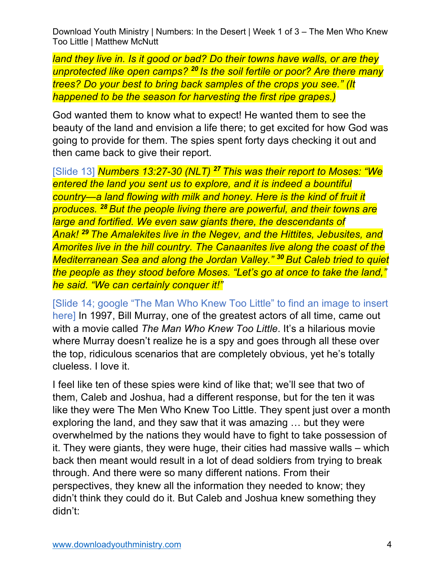*land they live in. Is it good or bad? Do their towns have walls, or are they unprotected like open camps? <sup>20</sup> Is the soil fertile or poor? Are there many trees? Do your best to bring back samples of the crops you see." (It happened to be the season for harvesting the first ripe grapes.)*

God wanted them to know what to expect! He wanted them to see the beauty of the land and envision a life there; to get excited for how God was going to provide for them. The spies spent forty days checking it out and then came back to give their report.

[Slide 13] *Numbers 13:27-30 (NLT) <sup>27</sup> This was their report to Moses: "We entered the land you sent us to explore, and it is indeed a bountiful country—a land flowing with milk and honey. Here is the kind of fruit it produces. <sup>28</sup> But the people living there are powerful, and their towns are large and fortified. We even saw giants there, the descendants of Anak! <sup>29</sup> The Amalekites live in the Negev, and the Hittites, Jebusites, and Amorites live in the hill country. The Canaanites live along the coast of the Mediterranean Sea and along the Jordan Valley." <sup>30</sup> But Caleb tried to quiet the people as they stood before Moses. "Let's go at once to take the land," he said. "We can certainly conquer it!"*

[Slide 14; google "The Man Who Knew Too Little" to find an image to insert here] In 1997, Bill Murray, one of the greatest actors of all time, came out with a movie called *The Man Who Knew Too Little*. It's a hilarious movie where Murray doesn't realize he is a spy and goes through all these over the top, ridiculous scenarios that are completely obvious, yet he's totally clueless. I love it.

I feel like ten of these spies were kind of like that; we'll see that two of them, Caleb and Joshua, had a different response, but for the ten it was like they were The Men Who Knew Too Little. They spent just over a month exploring the land, and they saw that it was amazing … but they were overwhelmed by the nations they would have to fight to take possession of it. They were giants, they were huge, their cities had massive walls – which back then meant would result in a lot of dead soldiers from trying to break through. And there were so many different nations. From their perspectives, they knew all the information they needed to know; they didn't think they could do it. But Caleb and Joshua knew something they didn't: